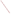